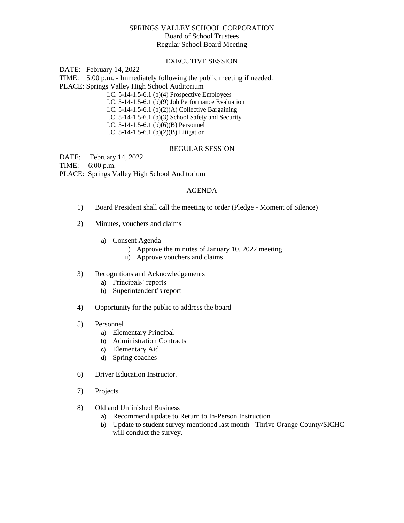### SPRINGS VALLEY SCHOOL CORPORATION

Board of School Trustees

Regular School Board Meeting

# EXECUTIVE SESSION

DATE: February 14, 2022

TIME: 5:00 p.m. - Immediately following the public meeting if needed. PLACE: Springs Valley High School Auditorium

I.C. 5-14-1.5-6.1 (b)(4) Prospective Employees I.C. 5-14-1.5-6.1 (b)(9) Job Performance Evaluation I.C.  $5-14-1.5-6.1$  (b)(2)(A) Collective Bargaining I.C. 5-14-1.5-6.1 (b)(3) School Safety and Security I.C. 5-14-1.5-6.1 (b)(6)(B) Personnel I.C. 5-14-1.5-6.1 (b)(2)(B) Litigation

### REGULAR SESSION

DATE: February 14, 2022

TIME: 6:00 p.m.

PLACE: Springs Valley High School Auditorium

## AGENDA

- 1) Board President shall call the meeting to order (Pledge Moment of Silence)
- 2) Minutes, vouchers and claims
	- a) Consent Agenda
		- i) Approve the minutes of January 10, 2022 meeting
			- ii) Approve vouchers and claims
- 3) Recognitions and Acknowledgements
	- a) Principals' reports
	- b) Superintendent's report
- 4) Opportunity for the public to address the board

### 5) Personnel

- a) Elementary Principal
- b) Administration Contracts
- c) Elementary Aid
- d) Spring coaches
- 6) Driver Education Instructor.
- 7) Projects
- 8) Old and Unfinished Business
	- a) Recommend update to Return to In-Person Instruction
	- b) Update to student survey mentioned last month Thrive Orange County/SICHC will conduct the survey.